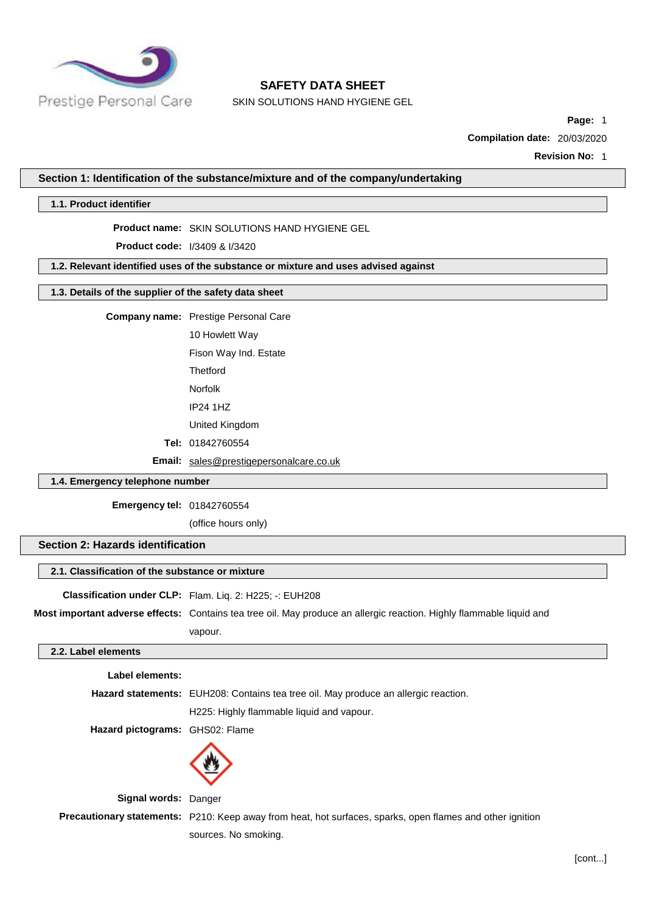

SKIN SOLUTIONS HAND HYGIENE GEL

**Page:** 1

**Compilation date:** 20/03/2020

**Revision No:** 1

#### **Section 1: Identification of the substance/mixture and of the company/undertaking**

#### **1.1. Product identifier**

#### **Product name:** SKIN SOLUTIONS HAND HYGIENE GEL

**Product code:** I/3409 & I/3420

#### **1.2. Relevant identified uses of the substance or mixture and uses advised against**

#### **1.3. Details of the supplier of the safety data sheet**

**Company name:** Prestige Personal Care

10 Howlett Way

Fison Way Ind. Estate

**Thetford** 

Norfolk

IP24 1HZ

United Kingdom

**Tel:** 01842760554

**Email:** [sales@prestigepersonalcare.co.uk](mailto:sales@prestigepersonalcare.co.uk)

#### **1.4. Emergency telephone number**

**Emergency tel:** 01842760554

(office hours only)

## **Section 2: Hazards identification**

#### **2.1. Classification of the substance or mixture**

**Classification under CLP:** Flam. Liq. 2: H225; -: EUH208

**Most important adverse effects:** Contains tea tree oil. May produce an allergic reaction. Highly flammable liquid and vapour.

#### **2.2. Label elements**

**Label elements:**

**Hazard statements:** EUH208: Contains tea tree oil. May produce an allergic reaction.

H225: Highly flammable liquid and vapour.

**Hazard pictograms:** GHS02: Flame



**Signal words:** Danger

**Precautionary statements:** P210: Keep away from heat, hot surfaces, sparks, open flames and other ignition

sources. No smoking.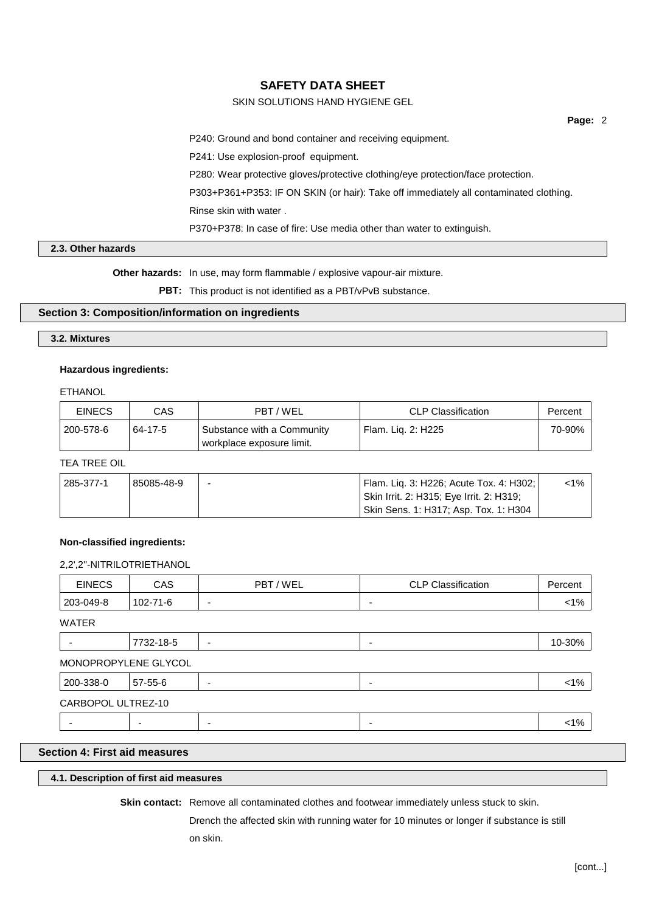## SKIN SOLUTIONS HAND HYGIENE GEL

**Page:** 2

P240: Ground and bond container and receiving equipment.

P241: Use explosion-proof equipment.

P280: Wear protective gloves/protective clothing/eye protection/face protection.

P303+P361+P353: IF ON SKIN (or hair): Take off immediately all contaminated clothing.

Rinse skin with water .

P370+P378: In case of fire: Use media other than water to extinguish.

## **2.3. Other hazards**

**Other hazards:** In use, may form flammable / explosive vapour-air mixture.

**PBT:** This product is not identified as a PBT/vPvB substance.

## **Section 3: Composition/information on ingredients**

## **3.2. Mixtures**

#### **Hazardous ingredients:**

#### ETHANOL

| <b>EINECS</b> | CAS     | PBT / WEL                                               | <b>CLP Classification</b> | Percent |
|---------------|---------|---------------------------------------------------------|---------------------------|---------|
| 200-578-6     | 64-17-5 | Substance with a Community<br>workplace exposure limit. | Flam, Lig. 2: H225        | 70-90%  |

## TEA TREE OIL

| 285-377-1 | 85085-48-9 | <sup>1</sup> Flam. Lig. 3: H226; Acute Tox. 4: H302; | <1% ∶ |
|-----------|------------|------------------------------------------------------|-------|
|           |            | Skin Irrit. 2: H315; Eye Irrit. 2: H319;             |       |
|           |            | <sup>∣</sup> Skin Sens. 1: H317; Asp. Tox. 1: H304   |       |

#### **Non-classified ingredients:**

#### 2,2',2''-NITRILOTRIETHANOL

| 102-71-6             | -                        | $\overline{\phantom{a}}$ | $< 1\%$ |
|----------------------|--------------------------|--------------------------|---------|
|                      |                          |                          |         |
|                      |                          |                          |         |
| 7732-18-5            | $\overline{\phantom{a}}$ | $\overline{\phantom{a}}$ | 10-30%  |
| MONOPROPYLENE GLYCOL |                          |                          |         |
| 57-55-6              | -                        | $\overline{\phantom{a}}$ | $< 1\%$ |
| CARBOPOL ULTREZ-10   |                          |                          |         |
|                      | ۰                        | $\overline{\phantom{a}}$ | $< 1\%$ |
|                      |                          |                          |         |

## **Section 4: First aid measures**

## **4.1. Description of first aid measures**

**Skin contact:** Remove all contaminated clothes and footwear immediately unless stuck to skin.

Drench the affected skin with running water for 10 minutes or longer if substance is still on skin.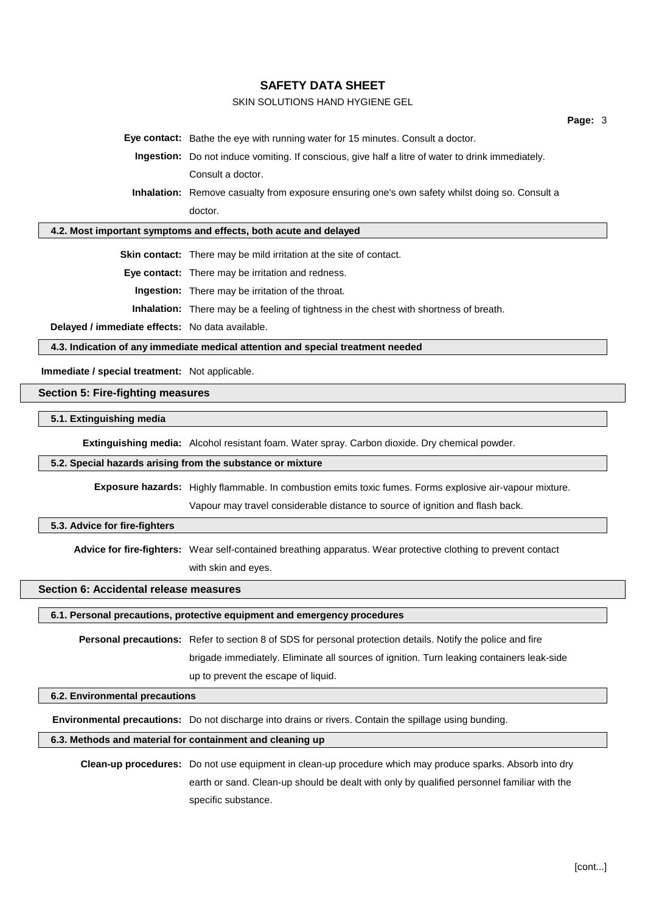## SKIN SOLUTIONS HAND HYGIENE GEL

**Eye contact:** Bathe the eye with running water for 15 minutes. Consult a doctor.

**Ingestion:** Do not induce vomiting. If conscious, give half a litre of water to drink immediately. Consult a doctor.

**Inhalation:** Remove casualty from exposure ensuring one's own safety whilst doing so. Consult a doctor.

#### **4.2. Most important symptoms and effects, both acute and delayed**

**Skin contact:** There may be mild irritation at the site of contact.

**Eye contact:** There may be irritation and redness.

**Ingestion:** There may be irritation of the throat.

**Inhalation:** There may be a feeling of tightness in the chest with shortness of breath.

**Delayed / immediate effects:** No data available.

**4.3. Indication of any immediate medical attention and special treatment needed**

**Immediate / special treatment:** Not applicable.

#### **Section 5: Fire-fighting measures**

#### **5.1. Extinguishing media**

**Extinguishing media:** Alcohol resistant foam. Water spray. Carbon dioxide. Dry chemical powder.

#### **5.2. Special hazards arising from the substance or mixture**

**Exposure hazards:** Highly flammable. In combustion emits toxic fumes. Forms explosive air-vapour mixture.

Vapour may travel considerable distance to source of ignition and flash back.

#### **5.3. Advice for fire-fighters**

**Advice for fire-fighters:** Wear self-contained breathing apparatus. Wear protective clothing to prevent contact with skin and eyes.

#### **Section 6: Accidental release measures**

#### **6.1. Personal precautions, protective equipment and emergency procedures**

**Personal precautions:** Refer to section 8 of SDS for personal protection details. Notify the police and fire brigade immediately. Eliminate all sources of ignition. Turn leaking containers leak-side up to prevent the escape of liquid.

#### **6.2. Environmental precautions**

**Environmental precautions:** Do not discharge into drains or rivers. Contain the spillage using bunding.

## **6.3. Methods and material for containment and cleaning up**

**Clean-up procedures:** Do not use equipment in clean-up procedure which may produce sparks. Absorb into dry earth or sand. Clean-up should be dealt with only by qualified personnel familiar with the specific substance.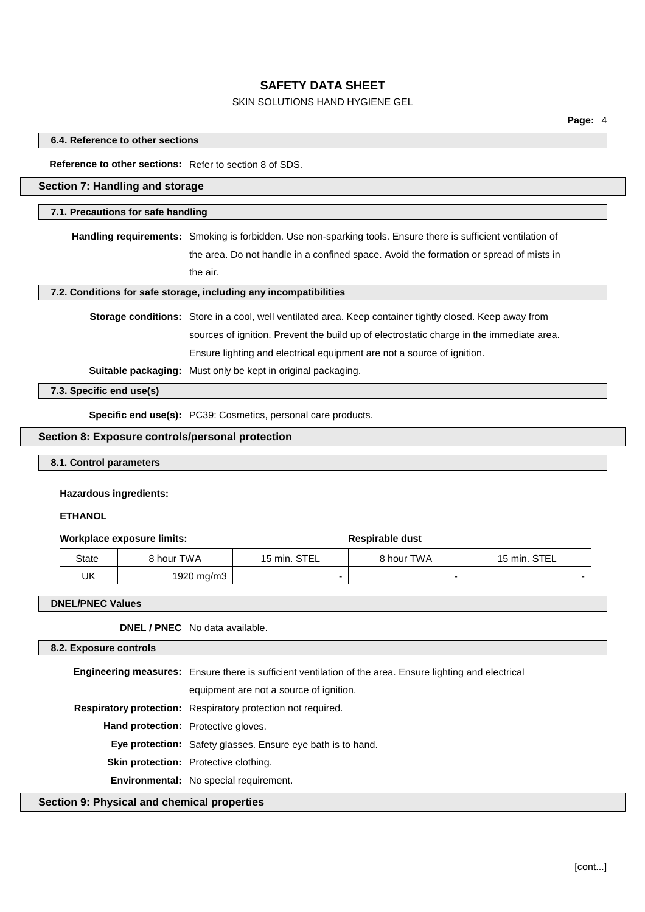## SKIN SOLUTIONS HAND HYGIENE GEL

#### **6.4. Reference to other sections**

#### **Reference to other sections:** Refer to section 8 of SDS.

## **Section 7: Handling and storage**

#### **7.1. Precautions for safe handling**

**Handling requirements:** Smoking is forbidden. Use non-sparking tools. Ensure there is sufficient ventilation of the area. Do not handle in a confined space. Avoid the formation or spread of mists in the air.

#### **7.2. Conditions for safe storage, including any incompatibilities**

**Storage conditions:** Store in a cool, well ventilated area. Keep container tightly closed. Keep away from sources of ignition. Prevent the build up of electrostatic charge in the immediate area. Ensure lighting and electrical equipment are not a source of ignition.

**Suitable packaging:** Must only be kept in original packaging.

**7.3. Specific end use(s)**

**Specific end use(s):** PC39: Cosmetics, personal care products.

#### **Section 8: Exposure controls/personal protection**

## **8.1. Control parameters**

## **Hazardous ingredients:**

## **ETHANOL**

#### **Workplace** exposure limits: **Respirable** dust

# State | 8 hour TWA | 15 min. STEL | 8 hour TWA | 15 min. STEL  $UK \qquad | \qquad 1920 \text{ mg/m}3 \qquad -$

#### **DNEL/PNEC Values**

**DNEL / PNEC** No data available.

## **8.2. Exposure controls**

**Engineering measures:** Ensure there is sufficient ventilation of the area. Ensure lighting and electrical

equipment are not a source of ignition.

**Respiratory protection:** Respiratory protection not required.

**Hand protection:** Protective gloves.

**Eye protection:** Safety glasses. Ensure eye bath is to hand.

**Skin protection:** Protective clothing.

**Environmental:** No special requirement.

## **Section 9: Physical and chemical properties**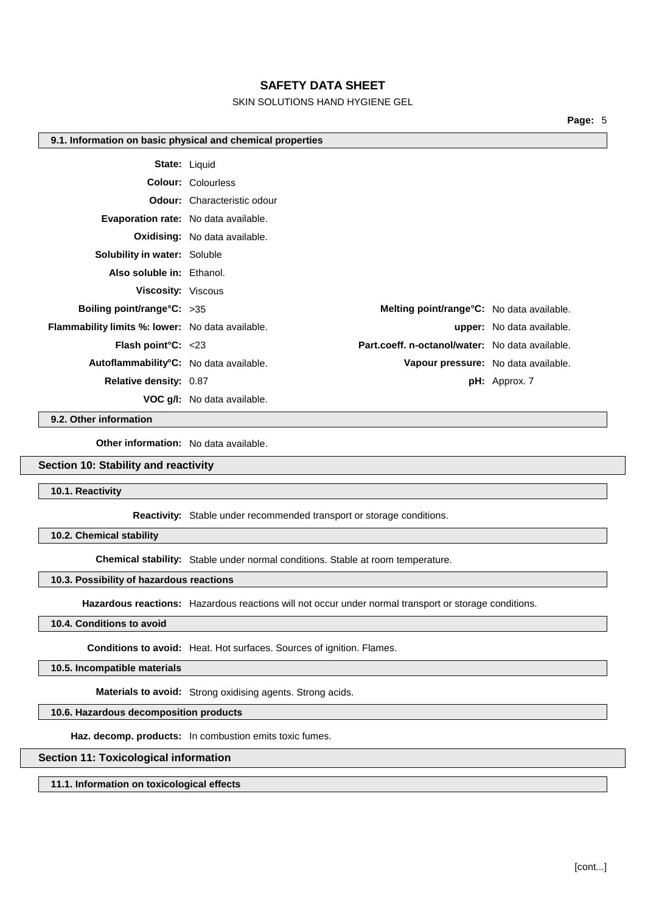## SKIN SOLUTIONS HAND HYGIENE GEL

**Page:** 5

#### **9.1. Information on basic physical and chemical properties**

|                                                         | <b>State: Liquid</b>                              |                                     |
|---------------------------------------------------------|---------------------------------------------------|-------------------------------------|
|                                                         | <b>Colour: Colourless</b>                         |                                     |
|                                                         | <b>Odour:</b> Characteristic odour                |                                     |
|                                                         | <b>Evaporation rate:</b> No data available.       |                                     |
|                                                         | Oxidising: No data available.                     |                                     |
| <b>Solubility in water: Soluble</b>                     |                                                   |                                     |
| Also soluble in: Ethanol.                               |                                                   |                                     |
| <b>Viscosity: Viscous</b>                               |                                                   |                                     |
| Boiling point/range $C: >35$                            | <b>Melting point/range °C:</b> No data available. |                                     |
| <b>Flammability limits %: lower:</b> No data available. |                                                   | <b>upper:</b> No data available.    |
| <b>Flash point °C:</b> $\leq 23$                        | Part.coeff. n-octanol/water: No data available.   |                                     |
| Autoflammability°C: No data available.                  |                                                   | Vapour pressure: No data available. |
| <b>Relative density: 0.87</b>                           |                                                   | $pH:$ Approx. 7                     |
|                                                         | <b>VOC q/I:</b> No data available.                |                                     |

#### **9.2. Other information**

**Other information:** No data available.

#### **Section 10: Stability and reactivity**

**10.1. Reactivity**

**Reactivity:** Stable under recommended transport or storage conditions.

**10.2. Chemical stability**

**Chemical stability:** Stable under normal conditions. Stable at room temperature.

#### **10.3. Possibility of hazardous reactions**

**Hazardous reactions:** Hazardous reactions will not occur under normal transport or storage conditions.

#### **10.4. Conditions to avoid**

**Conditions to avoid:** Heat. Hot surfaces. Sources of ignition. Flames.

**10.5. Incompatible materials**

**Materials to avoid:** Strong oxidising agents. Strong acids.

## **10.6. Hazardous decomposition products**

**Haz. decomp. products:** In combustion emits toxic fumes.

## **Section 11: Toxicological information**

**11.1. Information on toxicological effects**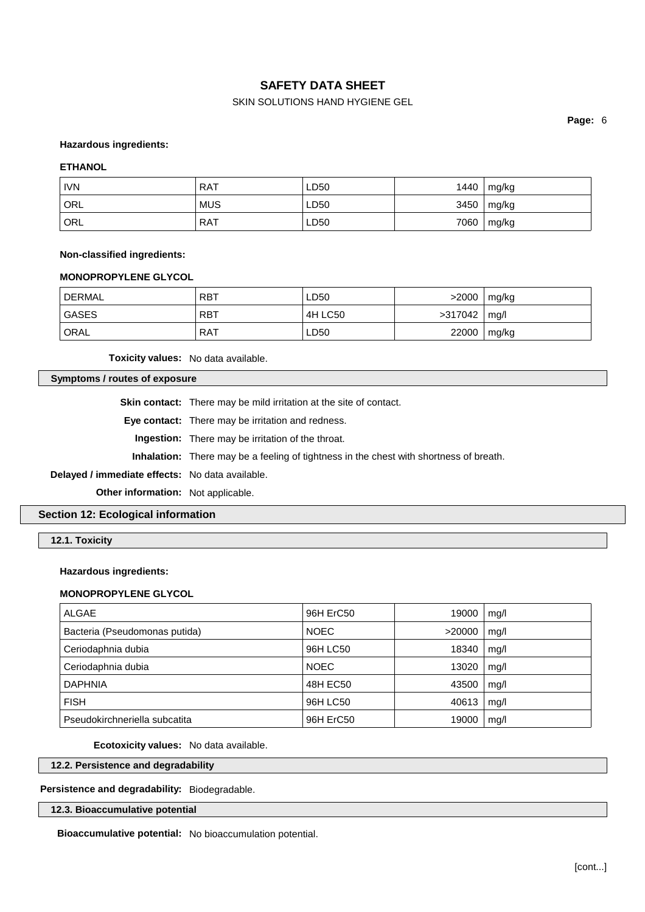## SKIN SOLUTIONS HAND HYGIENE GEL

**Page:** 6

#### **Hazardous ingredients:**

#### **ETHANOL**

| <b>IVN</b>       | RAT        | LD50 | 1440 | mg/kg |
|------------------|------------|------|------|-------|
| <sup>I</sup> ORL | <b>MUS</b> | LD50 | 3450 | mg/kg |
| <sup>'</sup> ORL | RAT        | LD50 | 7060 | mg/kg |

#### **Non-classified ingredients:**

#### **MONOPROPYLENE GLYCOL**

| DERMAL      | <b>RBT</b> | LD50    | >2000   | mg/kg |
|-------------|------------|---------|---------|-------|
| GASES       | <b>RBT</b> | 4H LC50 | >317042 | mq/l  |
| <b>ORAL</b> | <b>RAT</b> | LD50    | 22000   | mg/kg |

**Toxicity values:** No data available.

## **Symptoms / routes of exposure**

**Skin contact:** There may be mild irritation at the site of contact.

**Eye contact:** There may be irritation and redness.

**Ingestion:** There may be irritation of the throat.

**Inhalation:** There may be a feeling of tightness in the chest with shortness of breath.

**Delayed / immediate effects:** No data available.

**Other information:** Not applicable.

## **Section 12: Ecological information**

**12.1. Toxicity**

#### **Hazardous ingredients:**

#### **MONOPROPYLENE GLYCOL**

| <b>ALGAE</b>                  | 96H ErC50   | 19000  | mq/l |
|-------------------------------|-------------|--------|------|
| Bacteria (Pseudomonas putida) | <b>NOEC</b> | >20000 | mg/l |
| Ceriodaphnia dubia            | 96H LC50    | 18340  | mq/l |
| Ceriodaphnia dubia            | <b>NOEC</b> | 13020  | mg/l |
| <b>DAPHNIA</b>                | 48H EC50    | 43500  | mq/l |
| <b>FISH</b>                   | 96H LC50    | 40613  | mq/l |
| Pseudokirchneriella subcatita | 96H ErC50   | 19000  | mg/l |

**Ecotoxicity values:** No data available.

## **12.2. Persistence and degradability**

**Persistence and degradability:** Biodegradable.

**12.3. Bioaccumulative potential**

**Bioaccumulative potential:** No bioaccumulation potential.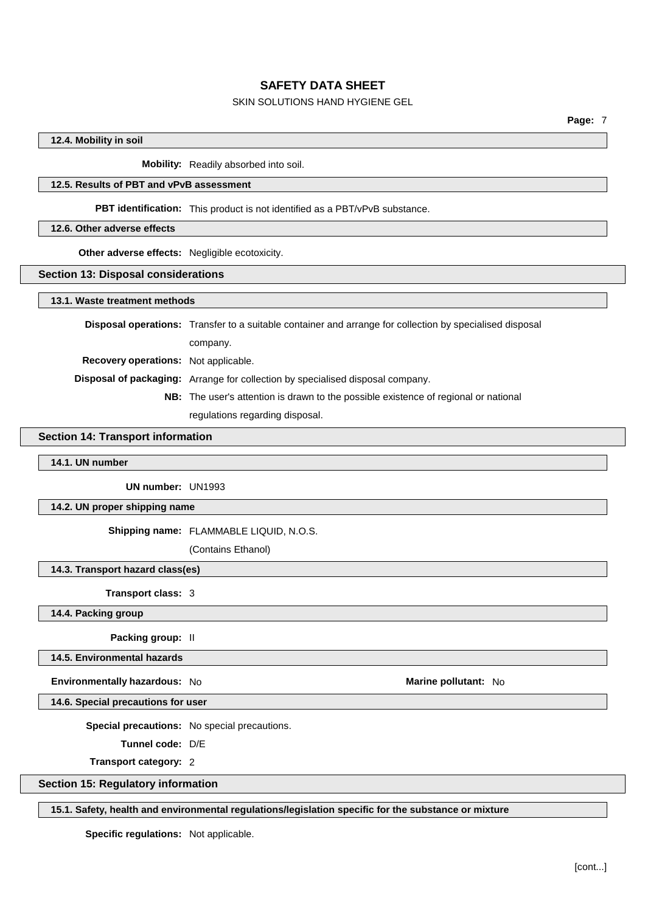## SKIN SOLUTIONS HAND HYGIENE GEL

## **12.4. Mobility in soil**

**Mobility:** Readily absorbed into soil.

## **12.5. Results of PBT and vPvB assessment**

**PBT identification:** This product is not identified as a PBT/vPvB substance.

#### **12.6. Other adverse effects**

**Other adverse effects:** Negligible ecotoxicity.

#### **Section 13: Disposal considerations**

#### **13.1. Waste treatment methods**

|                                             | <b>Disposal operations:</b> Transfer to a suitable container and arrange for collection by specialised disposal |
|---------------------------------------------|-----------------------------------------------------------------------------------------------------------------|
|                                             | company.                                                                                                        |
| <b>Recovery operations:</b> Not applicable. |                                                                                                                 |
|                                             | <b>Disposal of packaging:</b> Arrange for collection by specialised disposal company.                           |
|                                             | <b>NB:</b> The user's attention is drawn to the possible existence of regional or national                      |
|                                             | regulations regarding disposal.                                                                                 |

## **Section 14: Transport information**

## **14.1. UN number**

**UN number:** UN1993

**14.2. UN proper shipping name**

#### **Shipping name:** FLAMMABLE LIQUID, N.O.S.

(Contains Ethanol)

## **14.3. Transport hazard class(es)**

**Transport class:** 3

## **14.4. Packing group**

**Packing group:** II

**14.5. Environmental hazards**

**Environmentally hazardous:** No **Marine Marine Marine pollutant:** No

**14.6. Special precautions for user**

**Special precautions:** No special precautions.

**Tunnel code:** D/E

**Transport category:** 2

#### **Section 15: Regulatory information**

#### **15.1. Safety, health and environmental regulations/legislation specific for the substance or mixture**

**Specific regulations:** Not applicable.